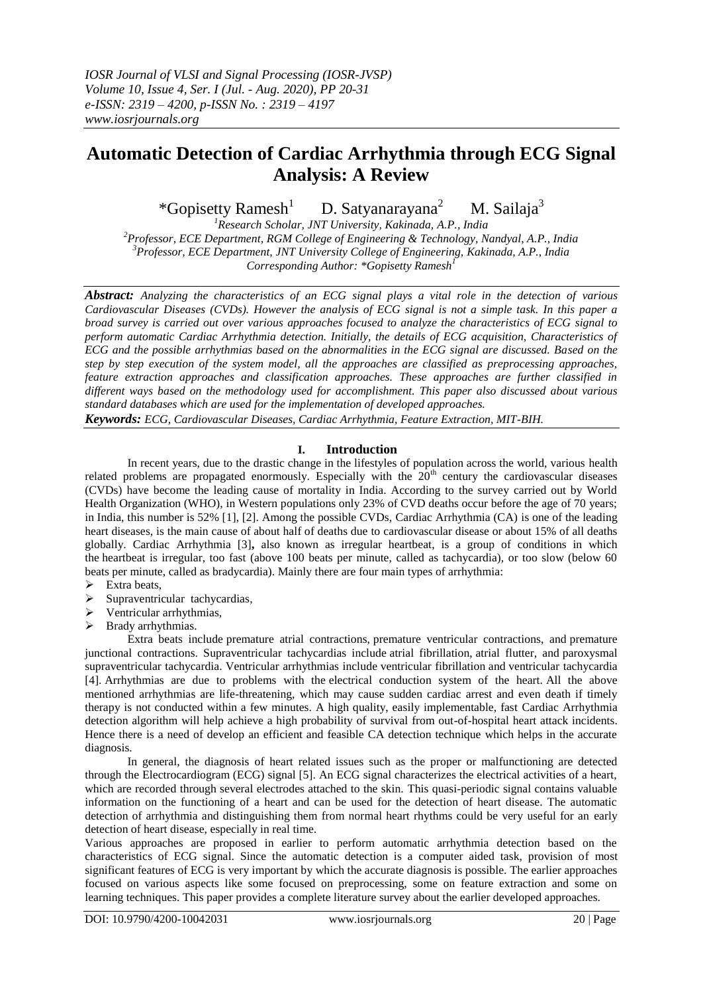# **Automatic Detection of Cardiac Arrhythmia through ECG Signal Analysis: A Review**

\*Gopisetty Ramesh $<sup>1</sup>$ </sup> D. Satyanarayana<sup>2</sup> M. Sailaja $3$ 

*Research Scholar, JNT University, Kakinada, A.P., India Professor, ECE Department, RGM College of Engineering & Technology, Nandyal, A.P., India Professor, ECE Department, JNT University College of Engineering, Kakinada, A.P., India Corresponding Author: \*Gopisetty Ramesh<sup>1</sup>*

*Abstract: Analyzing the characteristics of an ECG signal plays a vital role in the detection of various Cardiovascular Diseases (CVDs). However the analysis of ECG signal is not a simple task. In this paper a broad survey is carried out over various approaches focused to analyze the characteristics of ECG signal to perform automatic Cardiac Arrhythmia detection. Initially, the details of ECG acquisition, Characteristics of ECG and the possible arrhythmias based on the abnormalities in the ECG signal are discussed. Based on the step by step execution of the system model, all the approaches are classified as preprocessing approaches, feature extraction approaches and classification approaches. These approaches are further classified in different ways based on the methodology used for accomplishment. This paper also discussed about various standard databases which are used for the implementation of developed approaches.* 

*Keywords: ECG, Cardiovascular Diseases, Cardiac Arrhythmia, Feature Extraction, MIT-BIH.*

## **I. Introduction**

In recent years, due to the drastic change in the lifestyles of population across the world, various health related problems are propagated enormously. Especially with the  $20<sup>th</sup>$  century the cardiovascular diseases (CVDs) have become the leading cause of mortality in India. According to the survey carried out by World Health Organization (WHO), in Western populations only 23% of CVD deaths occur before the age of 70 years; in India, this number is 52% [1], [2]. Among the possible CVDs, Cardiac Arrhythmia (CA) is one of the leading heart diseases, is the main cause of about half of deaths due to cardiovascular disease or about 15% of all deaths globally. Cardiac Arrhythmia [3]**,** also known as irregular heartbeat, is a group of conditions in which the heartbeat is irregular, too fast (above 100 beats per minute, called as tachycardia), or too slow (below 60 beats per minute, called as bradycardia). Mainly there are four main types of arrhythmia:

- $\triangleright$  Extra beats,
- $\triangleright$  Supraventricular tachycardias,
- > Ventricular arrhythmias,
- $\triangleright$  Brady arrhythmias.

Extra beats include premature atrial contractions, premature ventricular contractions, and premature junctional contractions. Supraventricular tachycardias include atrial fibrillation, atrial flutter, and paroxysmal supraventricular tachycardia. Ventricular arrhythmias include ventricular fibrillation and ventricular tachycardia [4]. Arrhythmias are due to problems with the electrical conduction system of the heart. All the above mentioned arrhythmias are life-threatening, which may cause sudden cardiac arrest and even death if timely therapy is not conducted within a few minutes. A high quality, easily implementable, fast Cardiac Arrhythmia detection algorithm will help achieve a high probability of survival from out-of-hospital heart attack incidents. Hence there is a need of develop an efficient and feasible CA detection technique which helps in the accurate diagnosis.

In general, the diagnosis of heart related issues such as the proper or malfunctioning are detected through the Electrocardiogram (ECG) signal [5]. An ECG signal characterizes the electrical activities of a heart, which are recorded through several electrodes attached to the skin. This quasi-periodic signal contains valuable information on the functioning of a heart and can be used for the detection of heart disease. The automatic detection of arrhythmia and distinguishing them from normal heart rhythms could be very useful for an early detection of heart disease, especially in real time.

Various approaches are proposed in earlier to perform automatic arrhythmia detection based on the characteristics of ECG signal. Since the automatic detection is a computer aided task, provision of most significant features of ECG is very important by which the accurate diagnosis is possible. The earlier approaches focused on various aspects like some focused on preprocessing, some on feature extraction and some on learning techniques. This paper provides a complete literature survey about the earlier developed approaches.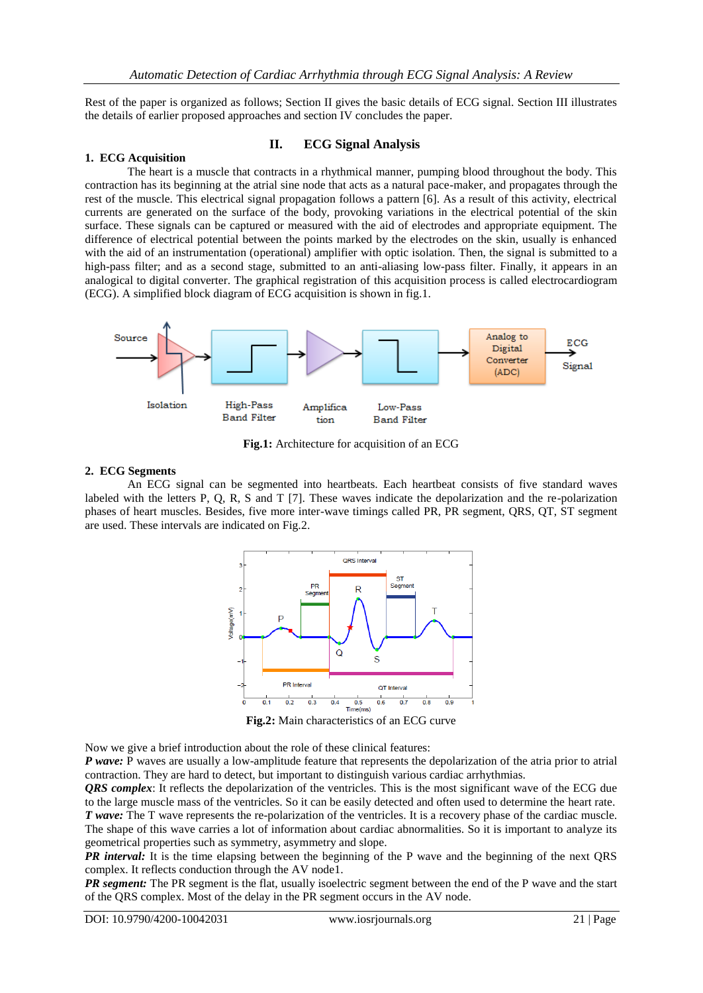Rest of the paper is organized as follows; Section II gives the basic details of ECG signal. Section III illustrates the details of earlier proposed approaches and section IV concludes the paper.

## **II. ECG Signal Analysis**

#### **1. ECG Acquisition**

The heart is a muscle that contracts in a rhythmical manner, pumping blood throughout the body. This contraction has its beginning at the atrial sine node that acts as a natural pace-maker, and propagates through the rest of the muscle. This electrical signal propagation follows a pattern [6]. As a result of this activity, electrical currents are generated on the surface of the body, provoking variations in the electrical potential of the skin surface. These signals can be captured or measured with the aid of electrodes and appropriate equipment. The difference of electrical potential between the points marked by the electrodes on the skin, usually is enhanced with the aid of an instrumentation (operational) amplifier with optic isolation. Then, the signal is submitted to a high-pass filter; and as a second stage, submitted to an anti-aliasing low-pass filter. Finally, it appears in an analogical to digital converter. The graphical registration of this acquisition process is called electrocardiogram (ECG). A simplified block diagram of ECG acquisition is shown in fig.1.



**Fig.1:** Architecture for acquisition of an ECG

#### **2. ECG Segments**

An ECG signal can be segmented into heartbeats. Each heartbeat consists of five standard waves labeled with the letters P, Q, R, S and T [7]. These waves indicate the depolarization and the re-polarization phases of heart muscles. Besides, five more inter-wave timings called PR, PR segment, QRS, QT, ST segment are used. These intervals are indicated on Fig.2.



**Fig.2:** Main characteristics of an ECG curve

Now we give a brief introduction about the role of these clinical features:

*P wave:* P waves are usually a low-amplitude feature that represents the depolarization of the atria prior to atrial contraction. They are hard to detect, but important to distinguish various cardiac arrhythmias.

*QRS complex*: It reflects the depolarization of the ventricles. This is the most significant wave of the ECG due to the large muscle mass of the ventricles. So it can be easily detected and often used to determine the heart rate. *T* wave: The T wave represents the re-polarization of the ventricles. It is a recovery phase of the cardiac muscle. The shape of this wave carries a lot of information about cardiac abnormalities. So it is important to analyze its geometrical properties such as symmetry, asymmetry and slope.

*PR interval:* It is the time elapsing between the beginning of the P wave and the beginning of the next QRS complex. It reflects conduction through the AV node1.

*PR segment:* The PR segment is the flat, usually isoelectric segment between the end of the P wave and the start of the QRS complex. Most of the delay in the PR segment occurs in the AV node.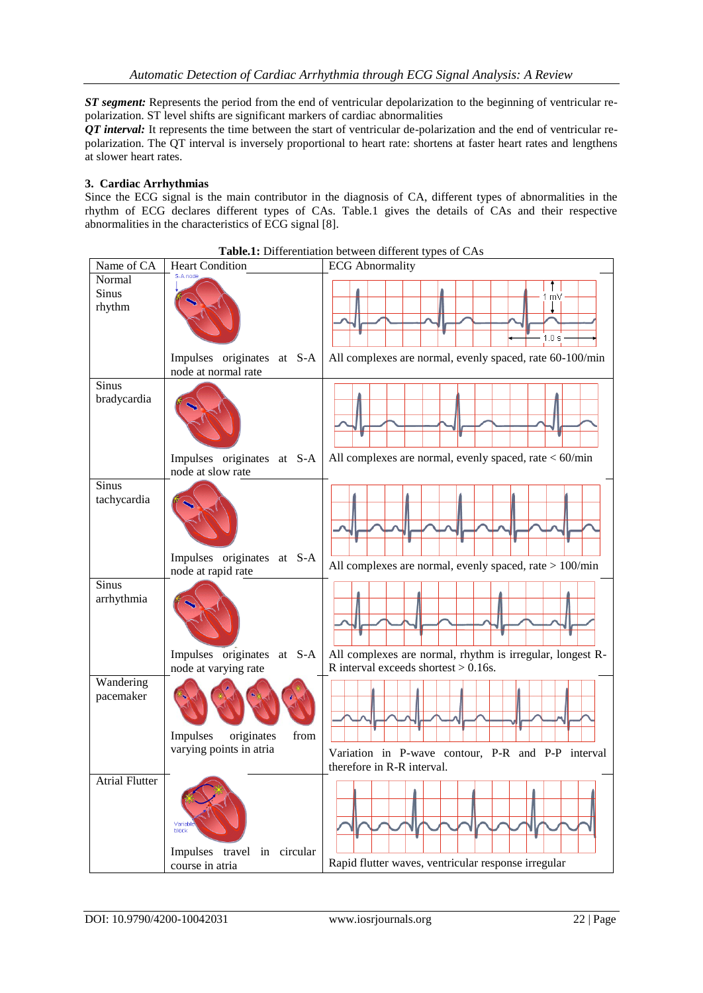*ST segment:* Represents the period from the end of ventricular depolarization to the beginning of ventricular repolarization. ST level shifts are significant markers of cardiac abnormalities

*QT interval:* It represents the time between the start of ventricular de-polarization and the end of ventricular repolarization. The QT interval is inversely proportional to heart rate: shortens at faster heart rates and lengthens at slower heart rates.

## **3. Cardiac Arrhythmias**

Since the ECG signal is the main contributor in the diagnosis of CA, different types of abnormalities in the rhythm of ECG declares different types of CAs. Table.1 gives the details of CAs and their respective abnormalities in the characteristics of ECG signal [8].

| Name of CA                  | <b>Heart Condition</b>                             | <b>Table.1.</b> Differentiation between unferent types of CAS<br><b>ECG</b> Abnormality              |
|-----------------------------|----------------------------------------------------|------------------------------------------------------------------------------------------------------|
|                             | S-A node                                           |                                                                                                      |
| Normal<br>Sinus<br>rhythm   |                                                    | m٧<br>1.0 s                                                                                          |
|                             | Impulses originates at S-A<br>node at normal rate  | All complexes are normal, evenly spaced, rate 60-100/min                                             |
| Sinus<br>bradycardia        |                                                    |                                                                                                      |
|                             | Impulses originates at S-A<br>node at slow rate    | All complexes are normal, evenly spaced, rate $<$ 60/min                                             |
| <b>Sinus</b><br>tachycardia |                                                    |                                                                                                      |
|                             | Impulses originates at S-A<br>node at rapid rate   | All complexes are normal, evenly spaced, rate $> 100$ /min                                           |
| Sinus<br>arrhythmia         |                                                    |                                                                                                      |
|                             | Impulses originates at S-A<br>node at varying rate | All complexes are normal, rhythm is irregular, longest R-<br>R interval exceeds shortest $> 0.16$ s. |
| Wandering<br>pacemaker      | Impulses<br>originates<br>from                     |                                                                                                      |
|                             | varying points in atria                            | Variation in P-wave contour, P-R and P-P interval<br>therefore in R-R interval.                      |
| <b>Atrial Flutter</b>       | Variabl<br>block<br>Impulses travel in circular    |                                                                                                      |
|                             | course in atria                                    | Rapid flutter waves, ventricular response irregular                                                  |

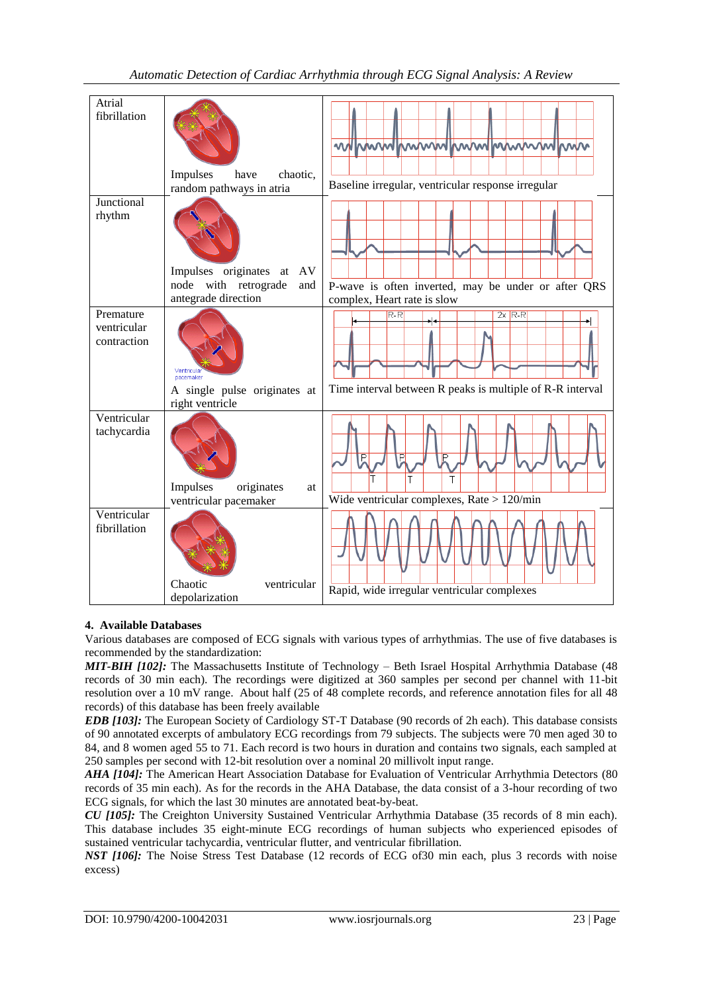| Atrial                                  |                                                              |                                                                                    |
|-----------------------------------------|--------------------------------------------------------------|------------------------------------------------------------------------------------|
| fibrillation                            | Impulses<br>chaotic.<br>have<br>random pathways in atria     | mmummmmmmmmmmm<br>www<br>Baseline irregular, ventricular response irregular        |
| Junctional                              |                                                              |                                                                                    |
| rhythm                                  | Impulses originates<br>AV<br>at                              |                                                                                    |
|                                         | with retrograde<br>node<br>and<br>antegrade direction        | P-wave is often inverted, may be under or after QRS<br>complex, Heart rate is slow |
| Premature<br>ventricular<br>contraction | pacemaker<br>A single pulse originates at                    | $R-R$<br>$2x$ R-R<br>Time interval between R peaks is multiple of R-R interval     |
|                                         | right ventricle                                              |                                                                                    |
| Ventricular<br>tachycardia              | Impulses<br>originates<br><b>at</b><br>ventricular pacemaker | P<br>P<br>т<br>Wide ventricular complexes, Rate $> 120$ /min                       |
| Ventricular<br>fibrillation             | Chaotic<br>ventricular<br>depolarization                     | Rapid, wide irregular ventricular complexes                                        |

# **4. Available Databases**

Various databases are composed of ECG signals with various types of arrhythmias. The use of five databases is recommended by the standardization:

*MIT-BIH [102]:* The Massachusetts Institute of Technology – Beth Israel Hospital Arrhythmia Database (48 records of 30 min each). The recordings were digitized at 360 samples per second per channel with 11-bit resolution over a 10 mV range. About half (25 of 48 complete records, and reference annotation files for all 48 records) of this database has been freely available

*EDB [103]:* The European Society of Cardiology ST-T Database (90 records of 2h each). This database consists of 90 annotated excerpts of ambulatory ECG recordings from 79 subjects. The subjects were 70 men aged 30 to 84, and 8 women aged 55 to 71. Each record is two hours in duration and contains two signals, each sampled at 250 samples per second with 12-bit resolution over a nominal 20 millivolt input range.

*AHA [104]:* The American Heart Association Database for Evaluation of Ventricular Arrhythmia Detectors (80 records of 35 min each). As for the records in the AHA Database, the data consist of a 3-hour recording of two ECG signals, for which the last 30 minutes are annotated beat-by-beat.

*CU [105]:* The Creighton University Sustained Ventricular Arrhythmia Database (35 records of 8 min each). This database includes 35 eight-minute ECG recordings of human subjects who experienced episodes of sustained ventricular tachycardia, ventricular flutter, and ventricular fibrillation.

*NST [106]:* The Noise Stress Test Database (12 records of ECG of30 min each, plus 3 records with noise excess)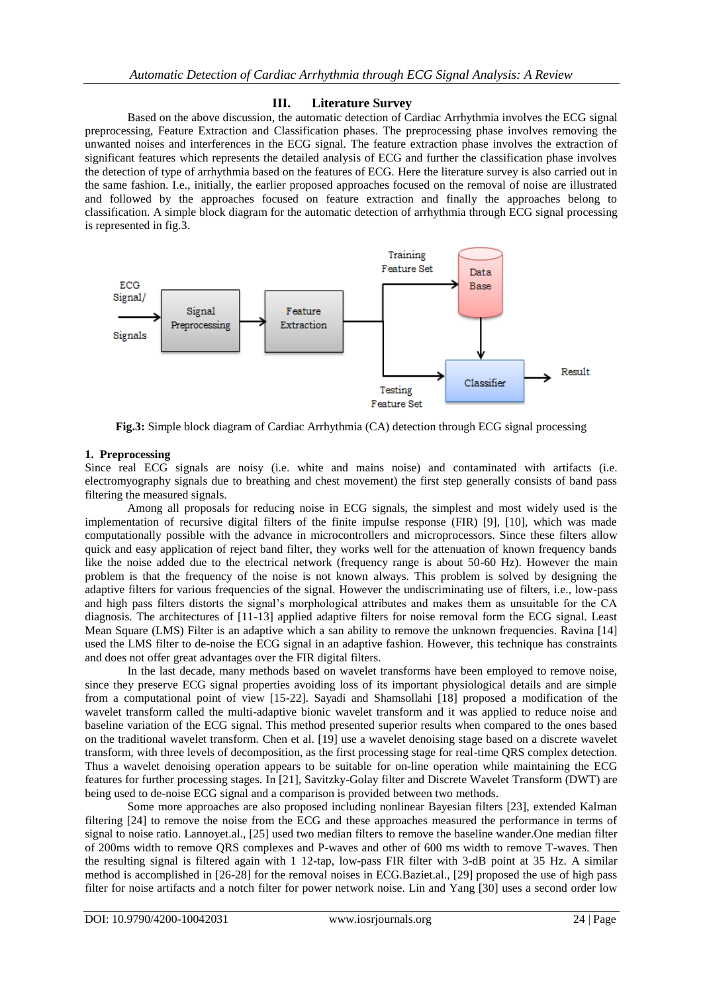## **III. Literature Survey**

Based on the above discussion, the automatic detection of Cardiac Arrhythmia involves the ECG signal preprocessing, Feature Extraction and Classification phases. The preprocessing phase involves removing the unwanted noises and interferences in the ECG signal. The feature extraction phase involves the extraction of significant features which represents the detailed analysis of ECG and further the classification phase involves the detection of type of arrhythmia based on the features of ECG. Here the literature survey is also carried out in the same fashion. I.e., initially, the earlier proposed approaches focused on the removal of noise are illustrated and followed by the approaches focused on feature extraction and finally the approaches belong to classification. A simple block diagram for the automatic detection of arrhythmia through ECG signal processing is represented in fig.3.



**Fig.3:** Simple block diagram of Cardiac Arrhythmia (CA) detection through ECG signal processing

## **1. Preprocessing**

Since real ECG signals are noisy (i.e. white and mains noise) and contaminated with artifacts (i.e. electromyography signals due to breathing and chest movement) the first step generally consists of band pass filtering the measured signals.

Among all proposals for reducing noise in ECG signals, the simplest and most widely used is the implementation of recursive digital filters of the finite impulse response (FIR) [9], [10], which was made computationally possible with the advance in microcontrollers and microprocessors. Since these filters allow quick and easy application of reject band filter, they works well for the attenuation of known frequency bands like the noise added due to the electrical network (frequency range is about 50-60 Hz). However the main problem is that the frequency of the noise is not known always. This problem is solved by designing the adaptive filters for various frequencies of the signal. However the undiscriminating use of filters, i.e., low-pass and high pass filters distorts the signal's morphological attributes and makes them as unsuitable for the CA diagnosis. The architectures of [11-13] applied adaptive filters for noise removal form the ECG signal. Least Mean Square (LMS) Filter is an adaptive which a san ability to remove the unknown frequencies. Ravina [14] used the LMS filter to de-noise the ECG signal in an adaptive fashion. However, this technique has constraints and does not offer great advantages over the FIR digital filters.

In the last decade, many methods based on wavelet transforms have been employed to remove noise, since they preserve ECG signal properties avoiding loss of its important physiological details and are simple from a computational point of view [15-22]. Sayadi and Shamsollahi [18] proposed a modification of the wavelet transform called the multi-adaptive bionic wavelet transform and it was applied to reduce noise and baseline variation of the ECG signal. This method presented superior results when compared to the ones based on the traditional wavelet transform. Chen et al. [19] use a wavelet denoising stage based on a discrete wavelet transform, with three levels of decomposition, as the first processing stage for real-time QRS complex detection. Thus a wavelet denoising operation appears to be suitable for on-line operation while maintaining the ECG features for further processing stages. In [21], Savitzky-Golay filter and Discrete Wavelet Transform (DWT) are being used to de-noise ECG signal and a comparison is provided between two methods.

Some more approaches are also proposed including nonlinear Bayesian filters [23], extended Kalman filtering [24] to remove the noise from the ECG and these approaches measured the performance in terms of signal to noise ratio. Lannoyet.al., [25] used two median filters to remove the baseline wander.One median filter of 200ms width to remove QRS complexes and P-waves and other of 600 ms width to remove T-waves. Then the resulting signal is filtered again with 1 12-tap, low-pass FIR filter with 3-dB point at 35 Hz. A similar method is accomplished in [26-28] for the removal noises in ECG.Baziet.al., [29] proposed the use of high pass filter for noise artifacts and a notch filter for power network noise. Lin and Yang [30] uses a second order low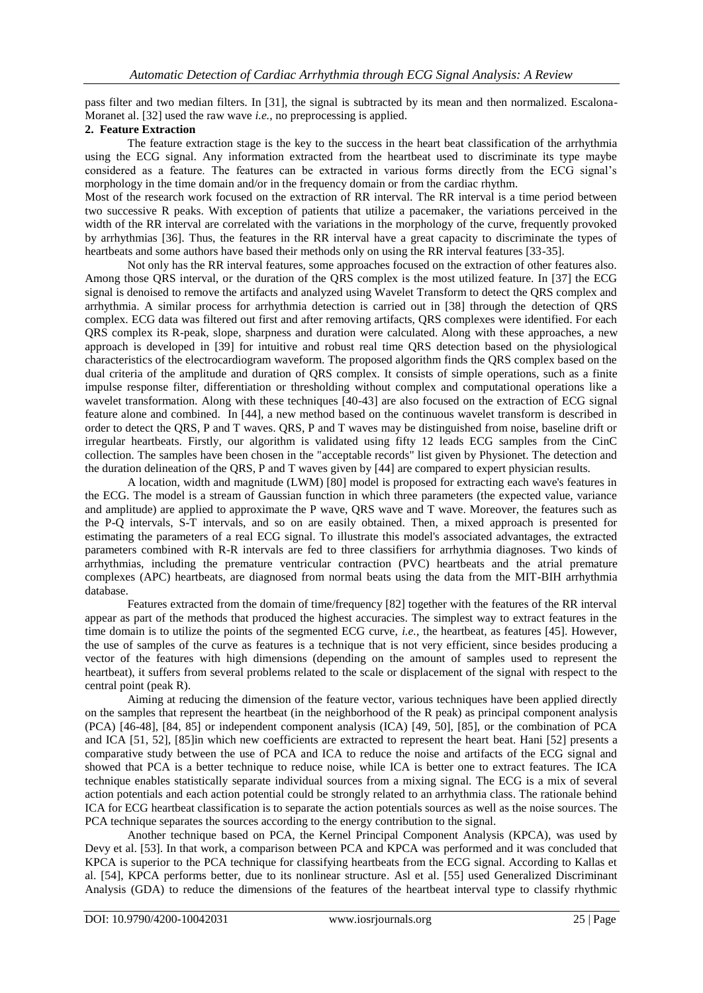pass filter and two median filters. In [31], the signal is subtracted by its mean and then normalized. Escalona-Moranet al. [32] used the raw wave *i.e.*, no preprocessing is applied.

#### **2. Feature Extraction**

The feature extraction stage is the key to the success in the heart beat classification of the arrhythmia using the ECG signal. Any information extracted from the heartbeat used to discriminate its type maybe considered as a feature. The features can be extracted in various forms directly from the ECG signal's morphology in the time domain and/or in the frequency domain or from the cardiac rhythm.

Most of the research work focused on the extraction of RR interval. The RR interval is a time period between two successive R peaks. With exception of patients that utilize a pacemaker, the variations perceived in the width of the RR interval are correlated with the variations in the morphology of the curve, frequently provoked by arrhythmias [36]. Thus, the features in the RR interval have a great capacity to discriminate the types of heartbeats and some authors have based their methods only on using the RR interval features [33-35].

Not only has the RR interval features, some approaches focused on the extraction of other features also. Among those QRS interval, or the duration of the QRS complex is the most utilized feature. In [37] the ECG signal is denoised to remove the artifacts and analyzed using Wavelet Transform to detect the QRS complex and arrhythmia. A similar process for arrhythmia detection is carried out in [38] through the detection of QRS complex. ECG data was filtered out first and after removing artifacts, QRS complexes were identified. For each QRS complex its R-peak, slope, sharpness and duration were calculated. Along with these approaches, a new approach is developed in [39] for intuitive and robust real time QRS detection based on the physiological characteristics of the electrocardiogram waveform. The proposed algorithm finds the QRS complex based on the dual criteria of the amplitude and duration of QRS complex. It consists of simple operations, such as a finite impulse response filter, differentiation or thresholding without complex and computational operations like a wavelet transformation. Along with these techniques [40-43] are also focused on the extraction of ECG signal feature alone and combined. In [44], a new method based on the continuous wavelet transform is described in order to detect the QRS, P and T waves. QRS, P and T waves may be distinguished from noise, baseline drift or irregular heartbeats. Firstly, our algorithm is validated using fifty 12 leads ECG samples from the CinC collection. The samples have been chosen in the "acceptable records" list given by Physionet. The detection and the duration delineation of the QRS, P and T waves given by [44] are compared to expert physician results.

A location, width and magnitude (LWM) [80] model is proposed for extracting each wave's features in the ECG. The model is a stream of Gaussian function in which three parameters (the expected value, variance and amplitude) are applied to approximate the P wave, QRS wave and T wave. Moreover, the features such as the P-Q intervals, S-T intervals, and so on are easily obtained. Then, a mixed approach is presented for estimating the parameters of a real ECG signal. To illustrate this model's associated advantages, the extracted parameters combined with R-R intervals are fed to three classifiers for arrhythmia diagnoses. Two kinds of arrhythmias, including the premature ventricular contraction (PVC) heartbeats and the atrial premature complexes (APC) heartbeats, are diagnosed from normal beats using the data from the MIT-BIH arrhythmia database.

Features extracted from the domain of time/frequency [82] together with the features of the RR interval appear as part of the methods that produced the highest accuracies. The simplest way to extract features in the time domain is to utilize the points of the segmented ECG curve, *i.e.*, the heartbeat, as features [45]. However, the use of samples of the curve as features is a technique that is not very efficient, since besides producing a vector of the features with high dimensions (depending on the amount of samples used to represent the heartbeat), it suffers from several problems related to the scale or displacement of the signal with respect to the central point (peak R).

Aiming at reducing the dimension of the feature vector, various techniques have been applied directly on the samples that represent the heartbeat (in the neighborhood of the R peak) as principal component analysis (PCA) [46-48], [84, 85] or independent component analysis (ICA) [49, 50], [85], or the combination of PCA and ICA [51, 52], [85]in which new coefficients are extracted to represent the heart beat. Hani [52] presents a comparative study between the use of PCA and ICA to reduce the noise and artifacts of the ECG signal and showed that PCA is a better technique to reduce noise, while ICA is better one to extract features. The ICA technique enables statistically separate individual sources from a mixing signal. The ECG is a mix of several action potentials and each action potential could be strongly related to an arrhythmia class. The rationale behind ICA for ECG heartbeat classification is to separate the action potentials sources as well as the noise sources. The PCA technique separates the sources according to the energy contribution to the signal.

Another technique based on PCA, the Kernel Principal Component Analysis (KPCA), was used by Devy et al. [53]. In that work, a comparison between PCA and KPCA was performed and it was concluded that KPCA is superior to the PCA technique for classifying heartbeats from the ECG signal. According to Kallas et al. [54], KPCA performs better, due to its nonlinear structure. Asl et al. [55] used Generalized Discriminant Analysis (GDA) to reduce the dimensions of the features of the heartbeat interval type to classify rhythmic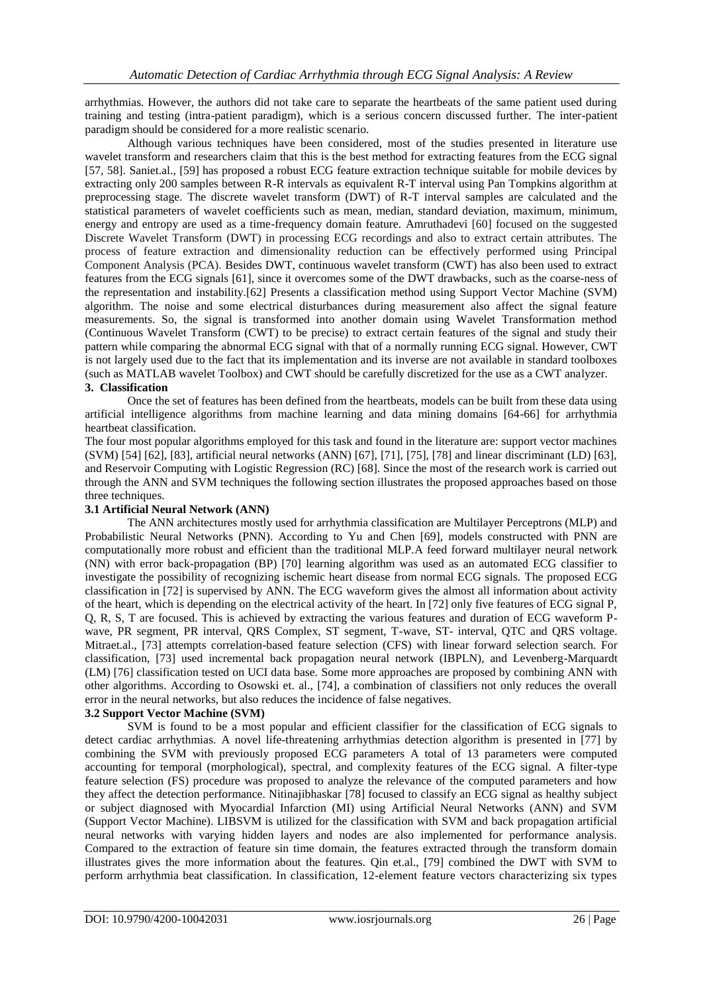arrhythmias. However, the authors did not take care to separate the heartbeats of the same patient used during training and testing (intra-patient paradigm), which is a serious concern discussed further. The inter-patient paradigm should be considered for a more realistic scenario.

Although various techniques have been considered, most of the studies presented in literature use wavelet transform and researchers claim that this is the best method for extracting features from the ECG signal [57, 58]. Saniet.al., [59] has proposed a robust ECG feature extraction technique suitable for mobile devices by extracting only 200 samples between R-R intervals as equivalent R-T interval using Pan Tompkins algorithm at preprocessing stage. The discrete wavelet transform (DWT) of R-T interval samples are calculated and the statistical parameters of wavelet coefficients such as mean, median, standard deviation, maximum, minimum, energy and entropy are used as a time-frequency domain feature. Amruthadevi [60] focused on the suggested Discrete Wavelet Transform (DWT) in processing ECG recordings and also to extract certain attributes. The process of feature extraction and dimensionality reduction can be effectively performed using Principal Component Analysis (PCA). Besides DWT, continuous wavelet transform (CWT) has also been used to extract features from the ECG signals [61], since it overcomes some of the DWT drawbacks, such as the coarse-ness of the representation and instability.[62] Presents a classification method using Support Vector Machine (SVM) algorithm. The noise and some electrical disturbances during measurement also affect the signal feature measurements. So, the signal is transformed into another domain using Wavelet Transformation method (Continuous Wavelet Transform (CWT) to be precise) to extract certain features of the signal and study their pattern while comparing the abnormal ECG signal with that of a normally running ECG signal. However, CWT is not largely used due to the fact that its implementation and its inverse are not available in standard toolboxes (such as MATLAB wavelet Toolbox) and CWT should be carefully discretized for the use as a CWT analyzer. **3. Classification** 

#### Once the set of features has been defined from the heartbeats, models can be built from these data using artificial intelligence algorithms from machine learning and data mining domains [64-66] for arrhythmia heartbeat classification.

The four most popular algorithms employed for this task and found in the literature are: support vector machines (SVM) [54] [62], [83], artificial neural networks (ANN) [67], [71], [75], [78] and linear discriminant (LD) [63], and Reservoir Computing with Logistic Regression (RC) [68]. Since the most of the research work is carried out through the ANN and SVM techniques the following section illustrates the proposed approaches based on those three techniques.

#### **3.1 Artificial Neural Network (ANN)**

The ANN architectures mostly used for arrhythmia classification are Multilayer Perceptrons (MLP) and Probabilistic Neural Networks (PNN). According to Yu and Chen [69], models constructed with PNN are computationally more robust and efficient than the traditional MLP.A feed forward multilayer neural network (NN) with error back-propagation (BP) [70] learning algorithm was used as an automated ECG classifier to investigate the possibility of recognizing ischemic heart disease from normal ECG signals. The proposed ECG classification in [72] is supervised by ANN. The ECG waveform gives the almost all information about activity of the heart, which is depending on the electrical activity of the heart. In [72] only five features of ECG signal P, Q, R, S, T are focused. This is achieved by extracting the various features and duration of ECG waveform Pwave, PR segment, PR interval, QRS Complex, ST segment, T-wave, ST- interval, QTC and QRS voltage. Mitraet.al., [73] attempts correlation-based feature selection (CFS) with linear forward selection search. For classification, [73] used incremental back propagation neural network (IBPLN), and Levenberg-Marquardt (LM) [76] classification tested on UCI data base. Some more approaches are proposed by combining ANN with other algorithms. According to Osowski et. al., [74], a combination of classifiers not only reduces the overall error in the neural networks, but also reduces the incidence of false negatives.

#### **3.2 Support Vector Machine (SVM)**

SVM is found to be a most popular and efficient classifier for the classification of ECG signals to detect cardiac arrhythmias. A novel life-threatening arrhythmias detection algorithm is presented in [77] by combining the SVM with previously proposed ECG parameters A total of 13 parameters were computed accounting for temporal (morphological), spectral, and complexity features of the ECG signal. A filter-type feature selection (FS) procedure was proposed to analyze the relevance of the computed parameters and how they affect the detection performance. Nitinajibhaskar [78] focused to classify an ECG signal as healthy subject or subject diagnosed with Myocardial Infarction (MI) using Artificial Neural Networks (ANN) and SVM (Support Vector Machine). LIBSVM is utilized for the classification with SVM and back propagation artificial neural networks with varying hidden layers and nodes are also implemented for performance analysis. Compared to the extraction of feature sin time domain, the features extracted through the transform domain illustrates gives the more information about the features. Qin et.al., [79] combined the DWT with SVM to perform arrhythmia beat classification. In classification, 12-element feature vectors characterizing six types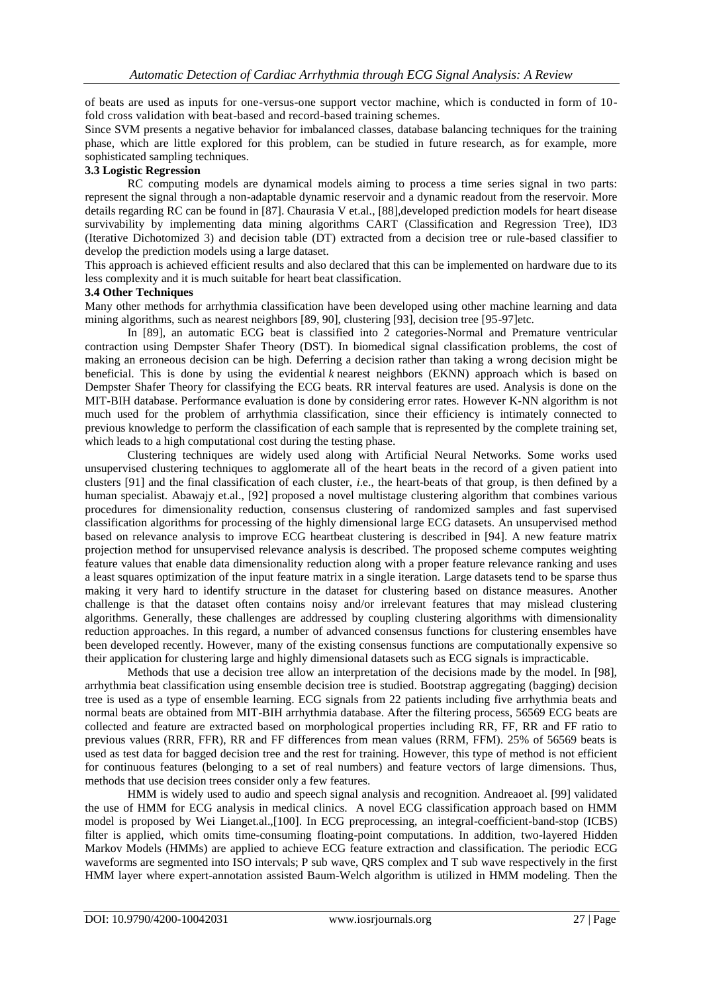of beats are used as inputs for one-versus-one support vector machine, which is conducted in form of 10 fold cross validation with beat-based and record-based training schemes.

Since SVM presents a negative behavior for imbalanced classes, database balancing techniques for the training phase, which are little explored for this problem, can be studied in future research, as for example, more sophisticated sampling techniques.

## **3.3 Logistic Regression**

RC computing models are dynamical models aiming to process a time series signal in two parts: represent the signal through a non-adaptable dynamic reservoir and a dynamic readout from the reservoir. More details regarding RC can be found in [87]. Chaurasia V et.al., [88],developed prediction models for heart disease survivability by implementing data mining algorithms CART (Classification and Regression Tree), ID3 (Iterative Dichotomized 3) and decision table (DT) extracted from a decision tree or rule-based classifier to develop the prediction models using a large dataset.

This approach is achieved efficient results and also declared that this can be implemented on hardware due to its less complexity and it is much suitable for heart beat classification.

#### **3.4 Other Techniques**

Many other methods for arrhythmia classification have been developed using other machine learning and data mining algorithms, such as nearest neighbors [89, 90], clustering [93], decision tree [95-97]etc.

In [89], an automatic ECG beat is classified into 2 categories-Normal and Premature ventricular contraction using Dempster Shafer Theory (DST). In biomedical signal classification problems, the cost of making an erroneous decision can be high. Deferring a decision rather than taking a wrong decision might be beneficial. This is done by using the evidential *k* nearest neighbors (EKNN) approach which is based on Dempster Shafer Theory for classifying the ECG beats. RR interval features are used. Analysis is done on the MIT-BIH database. Performance evaluation is done by considering error rates. However K-NN algorithm is not much used for the problem of arrhythmia classification, since their efficiency is intimately connected to previous knowledge to perform the classification of each sample that is represented by the complete training set, which leads to a high computational cost during the testing phase.

Clustering techniques are widely used along with Artificial Neural Networks. Some works used unsupervised clustering techniques to agglomerate all of the heart beats in the record of a given patient into clusters [91] and the final classification of each cluster, *i*.e., the heart-beats of that group, is then defined by a human specialist. Abawajy et.al., [92] proposed a novel multistage clustering algorithm that combines various procedures for dimensionality reduction, consensus clustering of randomized samples and fast supervised classification algorithms for processing of the highly dimensional large ECG datasets. An unsupervised method based on relevance analysis to improve ECG heartbeat clustering is described in [94]. A new feature matrix projection method for unsupervised relevance analysis is described. The proposed scheme computes weighting feature values that enable data dimensionality reduction along with a proper feature relevance ranking and uses a least squares optimization of the input feature matrix in a single iteration. Large datasets tend to be sparse thus making it very hard to identify structure in the dataset for clustering based on distance measures. Another challenge is that the dataset often contains noisy and/or irrelevant features that may mislead clustering algorithms. Generally, these challenges are addressed by coupling clustering algorithms with dimensionality reduction approaches. In this regard, a number of advanced consensus functions for clustering ensembles have been developed recently. However, many of the existing consensus functions are computationally expensive so their application for clustering large and highly dimensional datasets such as ECG signals is impracticable.

Methods that use a decision tree allow an interpretation of the decisions made by the model. In [98], arrhythmia beat classification using ensemble decision tree is studied. Bootstrap aggregating (bagging) decision tree is used as a type of ensemble learning. ECG signals from 22 patients including five arrhythmia beats and normal beats are obtained from MIT-BIH arrhythmia database. After the filtering process, 56569 ECG beats are collected and feature are extracted based on morphological properties including RR, FF, RR and FF ratio to previous values (RRR, FFR), RR and FF differences from mean values (RRM, FFM). 25% of 56569 beats is used as test data for bagged decision tree and the rest for training. However, this type of method is not efficient for continuous features (belonging to a set of real numbers) and feature vectors of large dimensions. Thus, methods that use decision trees consider only a few features.

HMM is widely used to audio and speech signal analysis and recognition. Andreaoet al. [99] validated the use of HMM for ECG analysis in medical clinics. A novel ECG classification approach based on HMM model is proposed by Wei Lianget.al.,[100]. In ECG preprocessing, an integral-coefficient-band-stop (ICBS) filter is applied, which omits time-consuming floating-point computations. In addition, two-layered Hidden Markov Models (HMMs) are applied to achieve ECG feature extraction and classification. The periodic ECG waveforms are segmented into ISO intervals; P sub wave, QRS complex and T sub wave respectively in the first HMM layer where expert-annotation assisted Baum-Welch algorithm is utilized in HMM modeling. Then the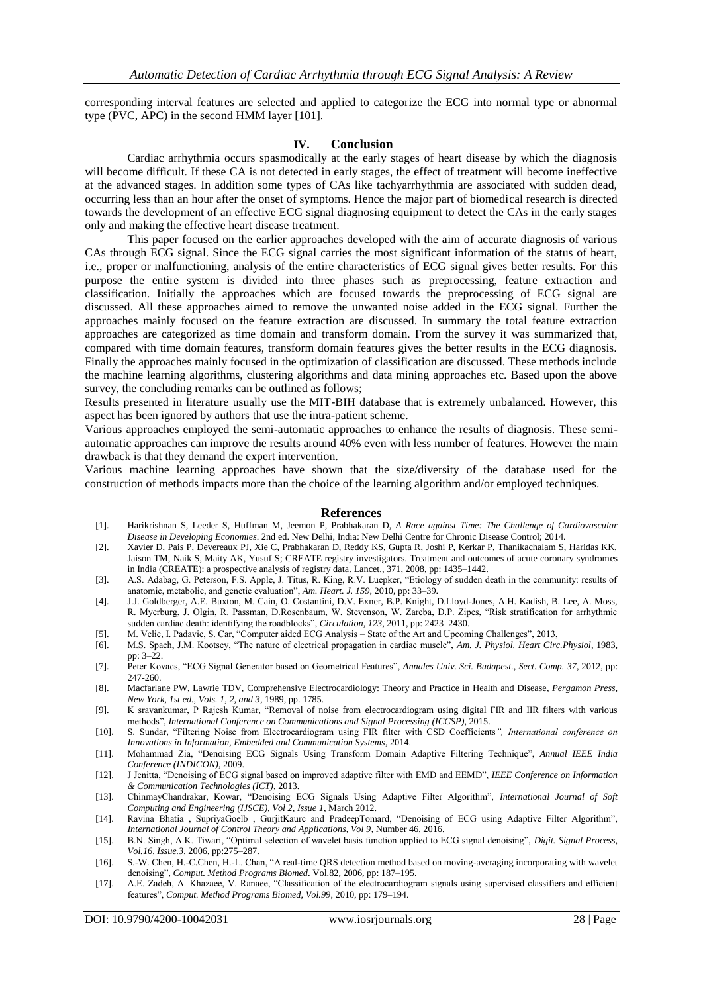corresponding interval features are selected and applied to categorize the ECG into normal type or abnormal type (PVC, APC) in the second HMM layer [101].

#### **IV. Conclusion**

Cardiac arrhythmia occurs spasmodically at the early stages of heart disease by which the diagnosis will become difficult. If these CA is not detected in early stages, the effect of treatment will become ineffective at the advanced stages. In addition some types of CAs like tachyarrhythmia are associated with sudden dead, occurring less than an hour after the onset of symptoms. Hence the major part of biomedical research is directed towards the development of an effective ECG signal diagnosing equipment to detect the CAs in the early stages only and making the effective heart disease treatment.

This paper focused on the earlier approaches developed with the aim of accurate diagnosis of various CAs through ECG signal. Since the ECG signal carries the most significant information of the status of heart, i.e., proper or malfunctioning, analysis of the entire characteristics of ECG signal gives better results. For this purpose the entire system is divided into three phases such as preprocessing, feature extraction and classification. Initially the approaches which are focused towards the preprocessing of ECG signal are discussed. All these approaches aimed to remove the unwanted noise added in the ECG signal. Further the approaches mainly focused on the feature extraction are discussed. In summary the total feature extraction approaches are categorized as time domain and transform domain. From the survey it was summarized that, compared with time domain features, transform domain features gives the better results in the ECG diagnosis. Finally the approaches mainly focused in the optimization of classification are discussed. These methods include the machine learning algorithms, clustering algorithms and data mining approaches etc. Based upon the above survey, the concluding remarks can be outlined as follows;

Results presented in literature usually use the MIT-BIH database that is extremely unbalanced. However, this aspect has been ignored by authors that use the intra-patient scheme.

Various approaches employed the semi-automatic approaches to enhance the results of diagnosis. These semiautomatic approaches can improve the results around 40% even with less number of features. However the main drawback is that they demand the expert intervention.

Various machine learning approaches have shown that the size/diversity of the database used for the construction of methods impacts more than the choice of the learning algorithm and/or employed techniques.

#### **References**

- [1]. Harikrishnan S, Leeder S, Huffman M, Jeemon P, Prabhakaran D, *A Race against Time: The Challenge of Cardiovascular Disease in Developing Economies*. 2nd ed. New Delhi, India: New Delhi Centre for Chronic Disease Control; 2014.
- [2]. Xavier D, Pais P, Devereaux PJ, Xie C, Prabhakaran D, Reddy KS, Gupta R, Joshi P, Kerkar P, Thanikachalam S, Haridas KK, Jaison TM, Naik S, Maity AK, Yusuf S; CREATE registry investigators. Treatment and outcomes of acute coronary syndromes in India (CREATE): a prospective analysis of registry data. Lancet., 371, 2008, pp: 1435–1442.
- [3]. A.S. Adabag, G. Peterson, F.S. Apple, J. Titus, R. King, R.V. Luepker, "Etiology of sudden death in the community: results of anatomic, metabolic, and genetic evaluation", *Am. Heart. J. 159*, 2010, pp: 33–39.
- [4]. J.J. Goldberger, A.E. Buxton, M. Cain, O. Costantini, D.V. Exner, B.P. Knight, D.Lloyd-Jones, A.H. Kadish, B. Lee, A. Moss, R. Myerburg, J. Olgin, R. Passman, D.Rosenbaum, W. Stevenson, W. Zareba, D.P. Zipes, "Risk stratification for arrhythmic sudden cardiac death: identifying the roadblocks", *Circulation, 123*, 2011, pp: 2423–2430.
- [5]. M. Velic, I. Padavic, S. Car, "Computer aided ECG Analysis State of the Art and Upcoming Challenges", 2013,
- [6]. M.S. Spach, J.M. Kootsey, "The nature of electrical propagation in cardiac muscle", *Am. J. Physiol. Heart Circ.Physiol*, 1983, pp: 3–22.
- [7]. Peter Kovacs, "ECG Signal Generator based on Geometrical Features", *Annales Univ. Sci. Budapest., Sect. Comp. 37*, 2012, pp: 247-260.
- [8]. Macfarlane PW, Lawrie TDV, Comprehensive Electrocardiology: Theory and Practice in Health and Disease, *Pergamon Press, New York, 1st ed., Vols. 1, 2, and 3*, 1989, pp. 1785.
- [9]. K sravankumar, P Rajesh Kumar, "Removal of noise from electrocardiogram using digital FIR and IIR filters with various methods", *International Conference on Communications and Signal Processing (ICCSP)*, 2015.
- [10]. S. Sundar, "Filtering Noise from Electrocardiogram using FIR filter with CSD Coefficients*", International conference on Innovations in Information, Embedded and Communication Systems*, 2014.
- [11]. Mohammad Zia, "Denoising ECG Signals Using Transform Domain Adaptive Filtering Technique", *Annual IEEE India Conference (INDICON)*, 2009.
- [12]. J Jenitta, "Denoising of ECG signal based on improved adaptive filter with EMD and EEMD", *IEEE Conference on Information & Communication Technologies (ICT)*, 2013.
- [13]. ChinmayChandrakar, Kowar, "Denoising ECG Signals Using Adaptive Filter Algorithm", *International Journal of Soft Computing and Engineering (IJSCE), Vol 2, Issue 1*, March 2012.
- [14]. Ravina Bhatia , SupriyaGoelb , GurjitKaurc and PradeepTomard, "Denoising of ECG using Adaptive Filter Algorithm", *International Journal of Control Theory and Applications, Vol 9*, Number 46, 2016.
- [15]. B.N. Singh, A.K. Tiwari, "Optimal selection of wavelet basis function applied to ECG signal denoising", *Digit. Signal Process, Vol.16, Issue.3*, 2006, pp:275–287.
- [16]. S.-W. Chen, H.-C.Chen, H.-L. Chan, "A real-time QRS detection method based on moving-averaging incorporating with wavelet denoising", *Comput. Method Programs Biomed*. Vol.82, 2006, pp: 187–195.
- [17]. A.E. Zadeh, A. Khazaee, V. Ranaee, "Classification of the electrocardiogram signals using supervised classifiers and efficient features", *Comput. Method Programs Biomed, Vol.99*, 2010, pp: 179–194.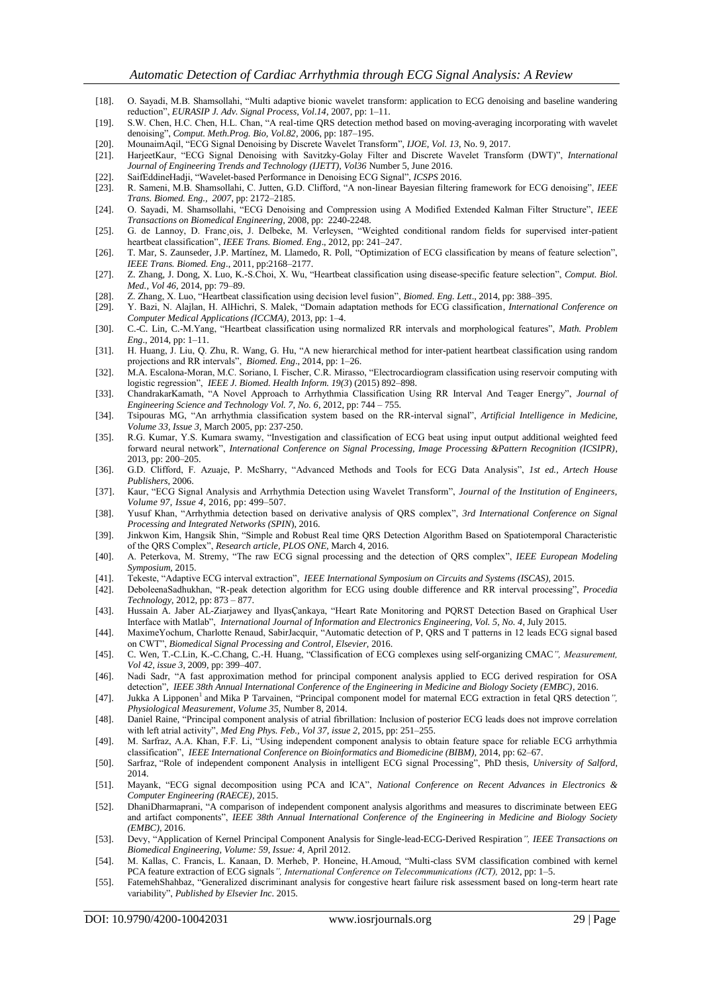- [18]. O. Sayadi, M.B. Shamsollahi, "Multi adaptive bionic wavelet transform: application to ECG denoising and baseline wandering reduction", *EURASIP J. Adv. Signal Process, Vol.14*, 2007, pp: 1–11.
- [19]. S.W. Chen, H.C. Chen, H.L. Chan, "A real-time QRS detection method based on moving-averaging incorporating with wavelet denoising", *Comput. Meth.Prog. Bio, Vol.82*, 2006, pp: 187–195.
- [20]. MounaimAqil, "ECG Signal Denoising by Discrete Wavelet Transform", *IJOE, Vol. 13*, No. 9, 2017.
- [21]. HarjeetKaur, "ECG Signal Denoising with Savitzky-Golay Filter and Discrete Wavelet Transform (DWT)", *International Journal of Engineering Trends and Technology (IJETT), Vol36* Number 5, June 2016.
- 
- [22]. SaifEddineHadji, "Wavelet-based Performance in Denoising ECG Signal", *ICSPS* 2016. [23]. R. Sameni, M.B. Shamsollahi, C. Jutten, G.D. Clifford, "A non-linear Bayesian filtering framework for ECG denoising", *IEEE Trans. Biomed. Eng., 2007*, pp: 2172–2185.
- [24]. O. Sayadi, M. Shamsollahi, "ECG Denoising and Compression using A Modified Extended Kalman Filter Structure", *IEEE Transactions on Biomedical Engineering,* 2008, pp: 2240-2248.
- [25]. G. de Lannoy, D. Franc¸ois, J. Delbeke, M. Verleysen, "Weighted conditional random fields for supervised inter-patient heartbeat classification", *IEEE Trans. Biomed. Eng*., 2012, pp: 241–247.
- [26]. T. Mar, S. Zaunseder, J.P. Martínez, M. Llamedo, R. Poll, "Optimization of ECG classification by means of feature selection", *IEEE Trans. Biomed. Eng*., 2011, pp:2168–2177.
- [27]. Z. Zhang, J. Dong, X. Luo, K.-S.Choi, X. Wu, "Heartbeat classification using disease-specific feature selection", *Comput. Biol. Med., Vol 46,* 2014, pp: 79–89.
- [28]. Z. Zhang, X. Luo, "Heartbeat classification using decision level fusion", *Biomed. Eng. Lett*., 2014, pp: 388–395.
- [29]. Y. Bazi, N. Alajlan, H. AlHichri, S. Malek, "Domain adaptation methods for ECG classification*, International Conference on Computer Medical Applications (ICCMA)*, 2013, pp: 1–4.
- [30]. C.-C. Lin, C.-M.Yang, "Heartbeat classification using normalized RR intervals and morphological features", *Math. Problem Eng*., 2014, pp: 1–11.
- [31]. H. Huang, J. Liu, Q. Zhu, R. Wang, G. Hu, "A new hierarchical method for inter-patient heartbeat classification using random projections and RR intervals", *Biomed. Eng*., 2014, pp: 1–26.
- [32]. M.A. Escalona-Moran, M.C. Soriano, I. Fischer, C.R. Mirasso, "Electrocardiogram classification using reservoir computing with logistic regression", *IEEE J. Biomed. Health Inform. 19(3*) (2015) 892–898.
- [33]. ChandrakarKamath, "A Novel Approach to Arrhythmia Classification Using RR Interval And Teager Energy", *Journal of Engineering Science and Technology Vol. 7, No. 6*, 2012, pp: 744 – 755.
- [34]. Tsipouras MG, "An arrhythmia classification system based on the RR-interval signal", *Artificial Intelligence in Medicine, Volume 33, Issue 3*, March 2005, pp: 237-250.
- [35]. R.G. Kumar, Y.S. Kumara swamy, "Investigation and classification of ECG beat using input output additional weighted feed forward neural network", *International Conference on Signal Processing, Image Processing &Pattern Recognition (ICSIPR)*, 2013, pp: 200–205.
- [36]. G.D. Clifford, F. Azuaje, P. McSharry, "Advanced Methods and Tools for ECG Data Analysis", *1st ed., Artech House Publishers*, 2006.
- [37]. Kaur, "ECG Signal Analysis and Arrhythmia Detection using Wavelet Transform", *Journal of the Institution of Engineers, Volume 97, Issue 4*, 2016, pp: 499–507.
- [38]. Yusuf Khan, "Arrhythmia detection based on derivative analysis of QRS complex", *3rd International Conference on Signal Processing and Integrated Networks (SPIN*), 2016.
- [39]. Jinkwon Kim, Hangsik Shin, "Simple and Robust Real time QRS Detection Algorithm Based on Spatiotemporal Characteristic of the QRS Complex", *Research article, PLOS ONE*, March 4, 2016.
- [40]. A. Peterkova, M. Stremy, "The raw ECG signal processing and the detection of QRS complex", *IEEE European Modeling Symposium,* 2015.
- [41]. Tekeste, "Adaptive ECG interval extraction", *IEEE International Symposium on Circuits and Systems (ISCAS),* 2015.
- [42]. DeboleenaSadhukhan, "R-peak detection algorithm for ECG using double difference and RR interval processing", *Procedia Technology*, 2012, pp: 873 – 877.
- [43]. Hussain A. Jaber AL-Ziarjawey and IlyasÇankaya, "Heart Rate Monitoring and PQRST Detection Based on Graphical User Interface with Matlab", *International Journal of Information and Electronics Engineering, Vol. 5, No. 4*, July 2015.
- [44]. MaximeYochum, Charlotte Renaud, SabirJacquir, "Automatic detection of P, QRS and T patterns in 12 leads ECG signal based on CWT", *Biomedical Signal Processing and Control, Elsevier,* 2016.
- [45]. C. Wen, T.-C.Lin, K.-C.Chang, C.-H. Huang, "Classification of ECG complexes using self-organizing CMAC*", Measurement, Vol 42, issue 3*, 2009, pp: 399–407.
- [46]. Nadi Sadr, "A fast approximation method for principal component analysis applied to ECG derived respiration for OSA detection", *IEEE 38th Annual International Conference of the Engineering in Medicine and Biology Society (EMBC)*, 2016.
- [47]. Jukka A Lipponen<sup>1</sup> and Mika P Tarvainen, "Principal component model for maternal ECG extraction in fetal QRS detection", *Physiological Measurement, Volume 35*, Number 8, 2014.
- [48]. Daniel Raine, "Principal component analysis of atrial fibrillation: Inclusion of posterior ECG leads does not improve correlation with left atrial activity", *Med Eng Phys. Feb., Vol 37, issue 2*, 2015, pp: 251–255.
- [49]. M. Sarfraz, A.A. Khan, F.F. Li, "Using independent component analysis to obtain feature space for reliable ECG arrhythmia classification", *IEEE International Conference on Bioinformatics and Biomedicine (BIBM),* 2014, pp: 62–67.
- [50]. Sarfraz, "Role of independent component Analysis in intelligent ECG signal Processing", PhD thesis, *University of Salford*, 2014.
- [51]. Mayank, "ECG signal decomposition using PCA and ICA", *National Conference on Recent Advances in Electronics & Computer Engineering (RAECE)*, 2015.
- [52]. DhaniDharmaprani, "A comparison of independent component analysis algorithms and measures to discriminate between EEG and artifact components", *IEEE 38th Annual International Conference of the Engineering in Medicine and Biology Society (EMBC),* 2016.
- [53]. Devy, "Application of Kernel Principal Component Analysis for Single-lead-ECG-Derived Respiration*", IEEE Transactions on Biomedical Engineering, Volume: 59, Issue: 4*, April 2012.
- [54]. M. Kallas, C. Francis, L. Kanaan, D. Merheb, P. Honeine, H.Amoud, "Multi-class SVM classification combined with kernel PCA feature extraction of ECG signals*", International Conference on Telecommunications (ICT),* 2012, pp: 1–5.
- [55]. FatemehShahbaz, "Generalized discriminant analysis for congestive heart failure risk assessment based on long-term heart rate variability", *Published by Elsevier Inc*. 2015.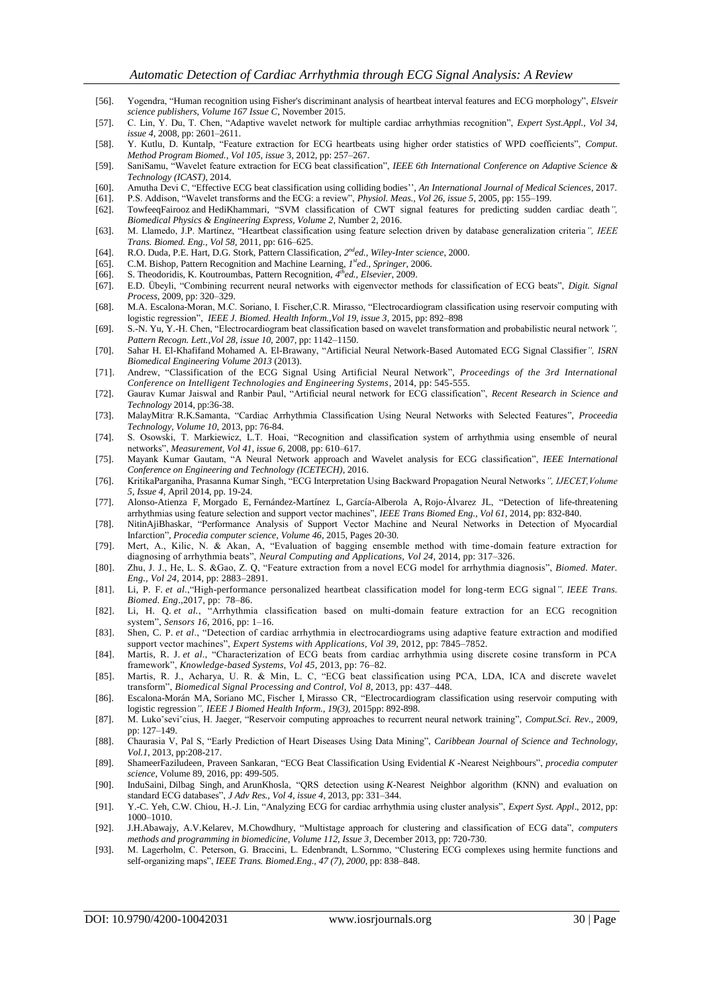- [56]. Yogendra, "Human recognition using Fisher's discriminant analysis of heartbeat interval features and ECG morphology", *Elsveir science publishers, Volume 167 Issue C*, November 2015.
- [57]. C. Lin, Y. Du, T. Chen, "Adaptive wavelet network for multiple cardiac arrhythmias recognition", *Expert Syst.Appl., Vol 34, issue 4*, 2008, pp: 2601–2611.
- [58]. Y. Kutlu, D. Kuntalp, "Feature extraction for ECG heartbeats using higher order statistics of WPD coefficients", *Comput. Method Program Biomed., Vol 105, issue* 3, 2012, pp: 257–267.
- [59]. SaniSamu, "Wavelet feature extraction for ECG beat classification", *IEEE 6th International Conference on Adaptive Science & Technology (ICAST)*, 2014.
- [60]. Amutha Devi C, "Effective ECG beat classification using colliding bodies'', *An International Journal of Medical Sciences*, 2017.
- [61]. P.S. Addison, "Wavelet transforms and the ECG: a review", *Physiol. Meas., Vol 26, issue 5*, 2005, pp: 155–199. [62]. TowfeeqFairooz and HediKhammari, "SVM classification of CWT signal features for predicting sudden cardiac death*",*
- *Biomedical Physics & Engineering Express, Volume 2*, Number 2, 2016. [63]. M. Llamedo, J.P. Martínez, "Heartbeat classification using feature selection driven by database generalization criteria*", IEEE*
- *Trans. Biomed. Eng., Vol 58,* 2011, pp: 616–625.
- [64]. R.O. Duda, P.E. Hart, D.G. Stork, Pattern Classification, 2<sup>nd</sup>ed., Wiley-Inter science, 2000.
- [65]. C.M. Bishop, Pattern Recognition and Machine Learning, *1 sted*., *Springer*, 2006.
- [66]. S. Theodoridis, K. Koutroumbas, Pattern Recognition, 4<sup>th</sup>ed., Elsevier, 2009.
- [67]. E.D. Übeyli, "Combining recurrent neural networks with eigenvector methods for classification of ECG beats", *Digit. Signal Process*, 2009, pp: 320–329.
- [68]. M.A. Escalona-Moran, M.C. Soriano, I. Fischer,C.R. Mirasso, "Electrocardiogram classification using reservoir computing with logistic regression", *IEEE J. Biomed. Health Inform.,Vol 19, issue 3*, 2015, pp: 892–898
- [69]. S.-N. Yu, Y.-H. Chen, "Electrocardiogram beat classification based on wavelet transformation and probabilistic neural network*", Pattern Recogn. Lett.,Vol 28, issue 10*, 2007, pp: 1142–1150.
- [70]. Sahar H. El-Khafifand Mohamed A. El-Brawany, "Artificial Neural Network-Based Automated ECG Signal Classifier*", ISRN Biomedical Engineering Volume 2013* (2013).
- [71]. Andrew, "Classification of the ECG Signal Using Artificial Neural Network", *Proceedings of the 3rd International Conference on Intelligent Technologies and Engineering Systems*, 2014, pp: 545-555.
- [72]. Gaurav Kumar Jaiswal and Ranbir Paul, "Artificial neural network for ECG classification", *Recent Research in Science and Technology* 2014, pp:36-38.
- [73]. MalayMitra, R.K.Samanta, "Cardiac Arrhythmia Classification Using Neural Networks with Selected Features", *Proceedia Technology, Volume 10*, 2013, pp: 76-84.
- [74]. S. Osowski, T. Markiewicz, L.T. Hoai, "Recognition and classification system of arrhythmia using ensemble of neural networks", *Measurement, Vol 41, issue 6*, 2008, pp: 610–617.
- [75]. Mayank Kumar Gautam, "A Neural Network approach and Wavelet analysis for ECG classification", *IEEE International Conference on Engineering and Technology (ICETECH)*, 2016.
- [76]. KritikaParganiha, Prasanna Kumar Singh, "ECG Interpretation Using Backward Propagation Neural Networks*", IJECET,Volume 5, Issue 4,* April 2014, pp. 19-24.
- [77]. Alonso-Atienza F, Morgado E, Fernández-Martínez L, García-Alberola A, Rojo-Álvarez JL, "Detection of life-threatening arrhythmias using feature selection and support vector machines", *IEEE Trans Biomed Eng., Vol 61*, 2014, pp: 832-840.
- [78]. [NitinAjiBhaskar,](http://www.sciencedirect.com/science/article/pii/S1877050915000447#!) "Performance Analysis of Support Vector Machine and Neural Networks in Detection of Myocardial Infarction", *Procedia computer science, Volume 46*, 2015, Pages 20-30.
- [79]. Mert, A., Kilic, N. & Akan, A, "Evaluation of bagging ensemble method with time-domain feature extraction for diagnosing of arrhythmia beats", *Neural Computing and Applications, Vol 24*, 2014, pp: 317–326.
- [80]. Zhu, J. J., He, L. S. &Gao, Z. Q, "Feature extraction from a novel ECG model for arrhythmia diagnosis", *Biomed. Mater. Eng., Vol 24*, 2014, pp: 2883–2891.
- [81]. Li, P. F. *et al*.,"High-performance personalized heartbeat classification model for long-term ECG signal*", IEEE Trans. Biomed. Eng*.,2017, pp: 78–86.
- [82]. Li, H. Q. *et al.*, "Arrhythmia classification based on multi-domain feature extraction for an ECG recognition system", *Sensors 16*, 2016, pp: 1–16.
- [83]. Shen, C. P. *et al*., "Detection of cardiac arrhythmia in electrocardiograms using adaptive feature extraction and modified support vector machines", *Expert Systems with Applications, Vol 39*, 2012, pp: 7845–7852.
- [84]. Martis, R. J. *et al*., "Characterization of ECG beats from cardiac arrhythmia using discrete cosine transform in PCA framework", *Knowledge-based Systems, Vol 45*, 2013, pp: 76–82.
- [85]. Martis, R. J., Acharya, U. R. & Min, L. C, "ECG beat classification using PCA, LDA, ICA and discrete wavelet transform", *Biomedical Signal Processing and Control, Vol 8*, 2013, pp: 437–448.
- [86]. Escalona-Morán MA, Soriano MC, Fischer I, Mirasso CR, "Electrocardiogram classification using reservoir computing with logistic regression*", IEEE J Biomed Health Inform., 19(3),* 2015pp: 892-898.
- [87]. M. Lukoˇseviˇcius, H. Jaeger, "Reservoir computing approaches to recurrent neural network training", *Comput.Sci. Rev*., 2009, pp: 127–149.
- [88]. Chaurasia V, Pal S, "Early Prediction of Heart Diseases Using Data Mining", *Caribbean Journal of Science and Technology, Vol.1*, 2013, pp:208-217.
- [89]. [ShameerFaziludeen, Praveen Sankaran,](http://www.sciencedirect.com/science/article/pii/S1877050916311711#!) "ECG Beat Classification Using Evidential *K* -Nearest Neighbours", *procedia computer science*, Volume 89, 2016, pp: 499-505.
- [90]. InduSaini, Dilbag Singh, and ArunKhosla, "QRS detection using *K*-Nearest Neighbor algorithm (KNN) and evaluation on standard ECG databases", *J Adv Res., Vol 4, issue 4*, 2013, pp: 331–344.
- [91]. Y.-C. Yeh, C.W. Chiou, H.-J. Lin, "Analyzing ECG for cardiac arrhythmia using cluster analysis", *Expert Syst. Appl*., 2012, pp: 1000–1010.
- [92]. [J.H.Abawajy, A.V.Kelarev, M.Chowdhury,](http://www.sciencedirect.com/science/article/pii/S0169260713002678#!) "Multistage approach for clustering and classification of ECG data", *computers methods and programming in biomedicine, Volume 112, Issue 3*, December 2013, pp: 720-730.
- [93]. M. Lagerholm, C. Peterson, G. Braccini, L. Edenbrandt, L.Sornmo, "Clustering ECG complexes using hermite functions and self-organizing maps", *IEEE Trans. Biomed.Eng., 47 (7), 2000*, pp: 838–848.